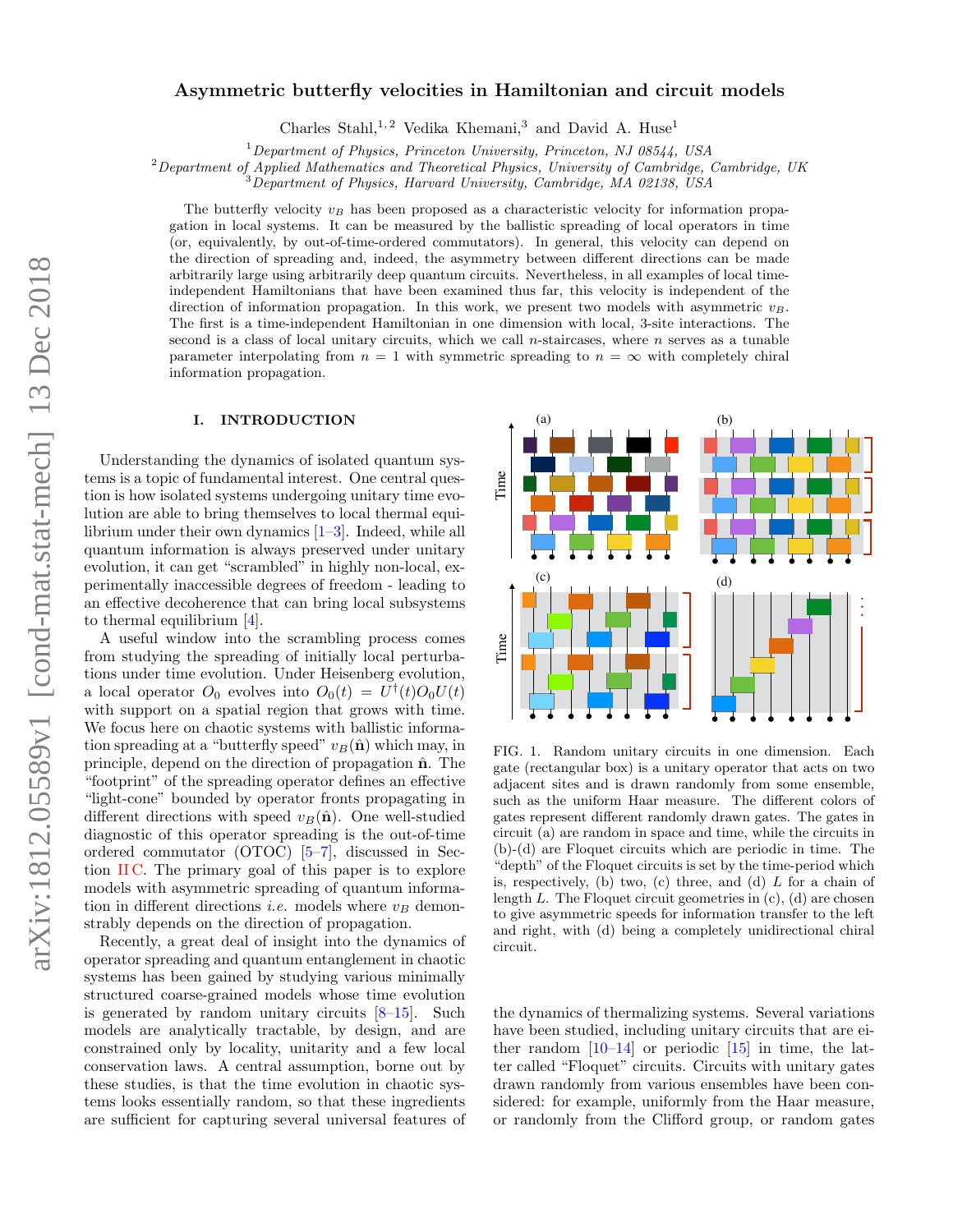# Asymmetric butterfly velocities in Hamiltonian and circuit models

Charles Stahl,<sup>1,2</sup> Vedika Khemani,<sup>3</sup> and David A. Huse<sup>1</sup>

 $1$ Department of Physics, Princeton University, Princeton, NJ 08544, USA

<sup>2</sup>Department of Applied Mathematics and Theoretical Physics, University of Cambridge, Cambridge, UK

 $3$ Department of Physics, Harvard University, Cambridge, MA 02138, USA

The butterfly velocity  $v_B$  has been proposed as a characteristic velocity for information propagation in local systems. It can be measured by the ballistic spreading of local operators in time (or, equivalently, by out-of-time-ordered commutators). In general, this velocity can depend on the direction of spreading and, indeed, the asymmetry between different directions can be made arbitrarily large using arbitrarily deep quantum circuits. Nevertheless, in all examples of local timeindependent Hamiltonians that have been examined thus far, this velocity is independent of the direction of information propagation. In this work, we present two models with asymmetric  $v_B$ . The first is a time-independent Hamiltonian in one dimension with local, 3-site interactions. The second is a class of local unitary circuits, which we call n-staircases, where  $n$  serves as a tunable parameter interpolating from  $n = 1$  with symmetric spreading to  $n = \infty$  with completely chiral information propagation.

## I. INTRODUCTION

Understanding the dynamics of isolated quantum systems is a topic of fundamental interest. One central question is how isolated systems undergoing unitary time evolution are able to bring themselves to local thermal equilibrium under their own dynamics [\[1](#page-9-0)[–3\]](#page-9-1). Indeed, while all quantum information is always preserved under unitary evolution, it can get "scrambled" in highly non-local, experimentally inaccessible degrees of freedom - leading to an effective decoherence that can bring local subsystems to thermal equilibrium [\[4\]](#page-9-2).

A useful window into the scrambling process comes from studying the spreading of initially local perturbations under time evolution. Under Heisenberg evolution, a local operator  $O_0$  evolves into  $O_0(t) = U^{\dagger}(t)O_0U(t)$ with support on a spatial region that grows with time. We focus here on chaotic systems with ballistic information spreading at a "butterfly speed"  $v_B(\hat{\bf{n}})$  which may, in principle, depend on the direction of propagation  $\hat{\mathbf{n}}$ . The "footprint" of the spreading operator defines an effective "light-cone" bounded by operator fronts propagating in different directions with speed  $v_B(\hat{\mathbf{n}})$ . One well-studied diagnostic of this operator spreading is the out-of-time ordered commutator (OTOC) [\[5–](#page-9-3)[7\]](#page-9-4), discussed in Section  $\Pi C$ . The primary goal of this paper is to explore models with asymmetric spreading of quantum information in different directions *i.e.* models where  $v_B$  demonstrably depends on the direction of propagation.

Recently, a great deal of insight into the dynamics of operator spreading and quantum entanglement in chaotic systems has been gained by studying various minimally structured coarse-grained models whose time evolution is generated by random unitary circuits [\[8–](#page-9-5)[15\]](#page-9-6). Such models are analytically tractable, by design, and are constrained only by locality, unitarity and a few local conservation laws. A central assumption, borne out by these studies, is that the time evolution in chaotic systems looks essentially random, so that these ingredients are sufficient for capturing several universal features of



<span id="page-0-0"></span>FIG. 1. Random unitary circuits in one dimension. Each gate (rectangular box) is a unitary operator that acts on two adjacent sites and is drawn randomly from some ensemble, such as the uniform Haar measure. The different colors of gates represent different randomly drawn gates. The gates in circuit (a) are random in space and time, while the circuits in (b)-(d) are Floquet circuits which are periodic in time. The "depth" of the Floquet circuits is set by the time-period which is, respectively, (b) two, (c) three, and (d)  $L$  for a chain of length  $L$ . The Floquet circuit geometries in  $(c)$ ,  $(d)$  are chosen to give asymmetric speeds for information transfer to the left and right, with (d) being a completely unidirectional chiral circuit.

the dynamics of thermalizing systems. Several variations have been studied, including unitary circuits that are either random  $[10-14]$  $[10-14]$  or periodic  $[15]$  in time, the latter called "Floquet" circuits. Circuits with unitary gates drawn randomly from various ensembles have been considered: for example, uniformly from the Haar measure, or randomly from the Clifford group, or random gates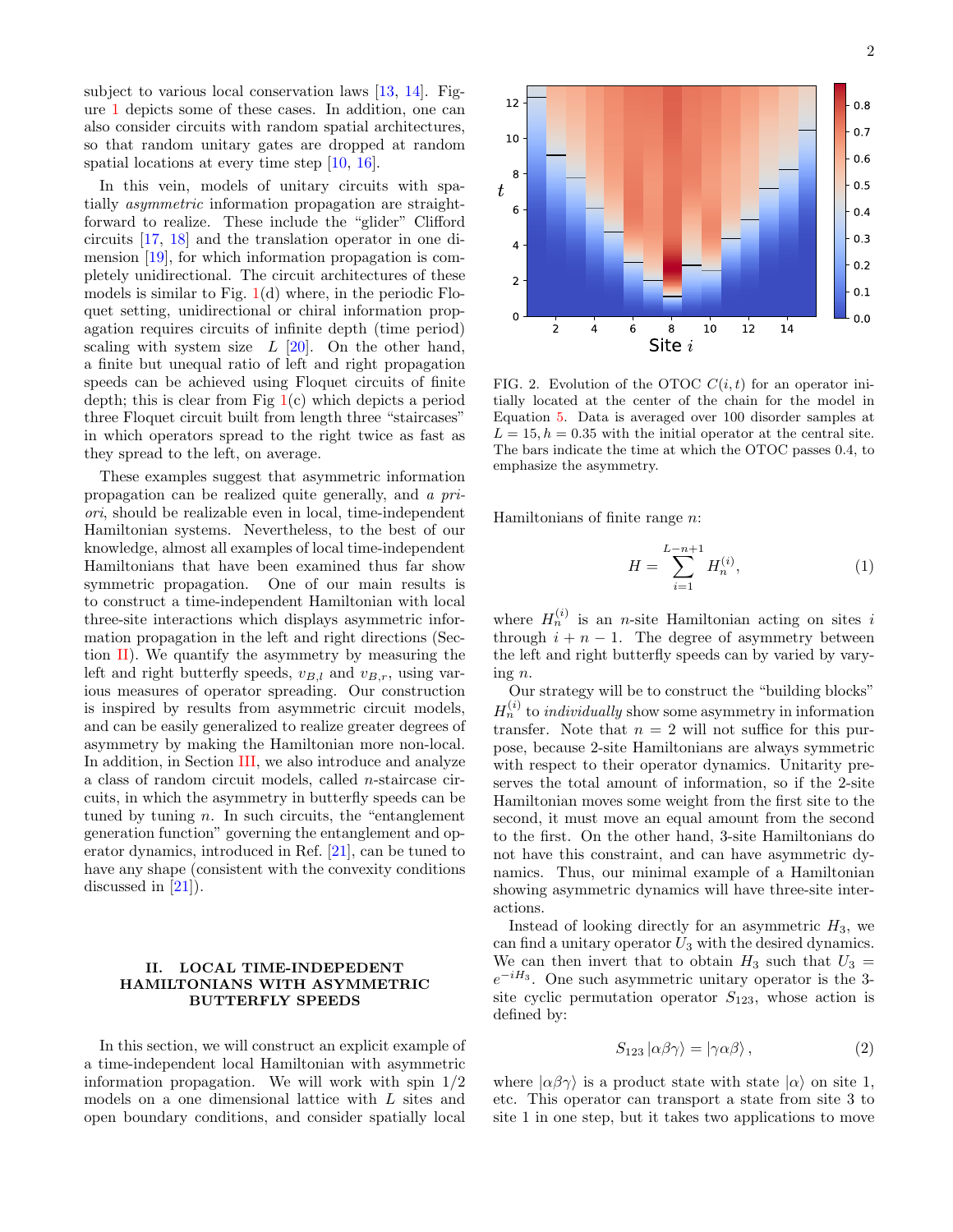subject to various local conservation laws [\[13,](#page-9-9) [14\]](#page-9-8). Figure [1](#page-0-0) depicts some of these cases. In addition, one can also consider circuits with random spatial architectures, so that random unitary gates are dropped at random spatial locations at every time step [\[10,](#page-9-7) [16\]](#page-9-10).

In this vein, models of unitary circuits with spatially asymmetric information propagation are straightforward to realize. These include the "glider" Clifford circuits [\[17,](#page-9-11) [18\]](#page-9-12) and the translation operator in one dimension [\[19\]](#page-9-13), for which information propagation is completely unidirectional. The circuit architectures of these models is similar to Fig.  $1(d)$  $1(d)$  where, in the periodic Floquet setting, unidirectional or chiral information propagation requires circuits of infinite depth (time period) scaling with system size  $L$  [\[20\]](#page-9-14). On the other hand, a finite but unequal ratio of left and right propagation speeds can be achieved using Floquet circuits of finite depth; this is clear from Fig  $1(c)$  $1(c)$  which depicts a period three Floquet circuit built from length three "staircases" in which operators spread to the right twice as fast as they spread to the left, on average.

These examples suggest that asymmetric information propagation can be realized quite generally, and a priori, should be realizable even in local, time-independent Hamiltonian systems. Nevertheless, to the best of our knowledge, almost all examples of local time-independent Hamiltonians that have been examined thus far show symmetric propagation. One of our main results is to construct a time-independent Hamiltonian with local three-site interactions which displays asymmetric information propagation in the left and right directions (Section  $\mathbf{II}$ ). We quantify the asymmetry by measuring the left and right butterfly speeds,  $v_{B,l}$  and  $v_{B,r}$ , using various measures of operator spreading. Our construction is inspired by results from asymmetric circuit models, and can be easily generalized to realize greater degrees of asymmetry by making the Hamiltonian more non-local. In addition, in Section [III,](#page-5-0) we also introduce and analyze a class of random circuit models, called n-staircase circuits, in which the asymmetry in butterfly speeds can be tuned by tuning  $n$ . In such circuits, the "entanglement" generation function" governing the entanglement and operator dynamics, introduced in Ref. [\[21\]](#page-9-15), can be tuned to have any shape (consistent with the convexity conditions discussed in [\[21\]](#page-9-15)).

### <span id="page-1-0"></span>II. LOCAL TIME-INDEPEDENT HAMILTONIANS WITH ASYMMETRIC BUTTERFLY SPEEDS

In this section, we will construct an explicit example of a time-independent local Hamiltonian with asymmetric information propagation. We will work with spin 1/2 models on a one dimensional lattice with L sites and open boundary conditions, and consider spatially local



<span id="page-1-1"></span>FIG. 2. Evolution of the OTOC  $C(i, t)$  for an operator initially located at the center of the chain for the model in Equation [5.](#page-3-0) Data is averaged over 100 disorder samples at  $L = 15, h = 0.35$  with the initial operator at the central site. The bars indicate the time at which the OTOC passes 0.4, to emphasize the asymmetry.

Hamiltonians of finite range n:

$$
H = \sum_{i=1}^{L-n+1} H_n^{(i)},\tag{1}
$$

where  $H_n^{(i)}$  is an *n*-site Hamiltonian acting on sites i through  $i + n - 1$ . The degree of asymmetry between the left and right butterfly speeds can by varied by varying n.

Our strategy will be to construct the "building blocks"  $H_n^{(i)}$  to *individually* show some asymmetry in information transfer. Note that  $n = 2$  will not suffice for this purpose, because 2-site Hamiltonians are always symmetric with respect to their operator dynamics. Unitarity preserves the total amount of information, so if the 2-site Hamiltonian moves some weight from the first site to the second, it must move an equal amount from the second to the first. On the other hand, 3-site Hamiltonians do not have this constraint, and can have asymmetric dynamics. Thus, our minimal example of a Hamiltonian showing asymmetric dynamics will have three-site interactions.

Instead of looking directly for an asymmetric  $H_3$ , we can find a unitary operator  $U_3$  with the desired dynamics. We can then invert that to obtain  $H_3$  such that  $U_3$  =  $e^{-iH_3}$ . One such asymmetric unitary operator is the 3site cyclic permutation operator  $S_{123}$ , whose action is defined by:

$$
S_{123} |\alpha \beta \gamma \rangle = |\gamma \alpha \beta \rangle , \qquad (2)
$$

where  $|\alpha\beta\gamma\rangle$  is a product state with state  $|\alpha\rangle$  on site 1, etc. This operator can transport a state from site 3 to site 1 in one step, but it takes two applications to move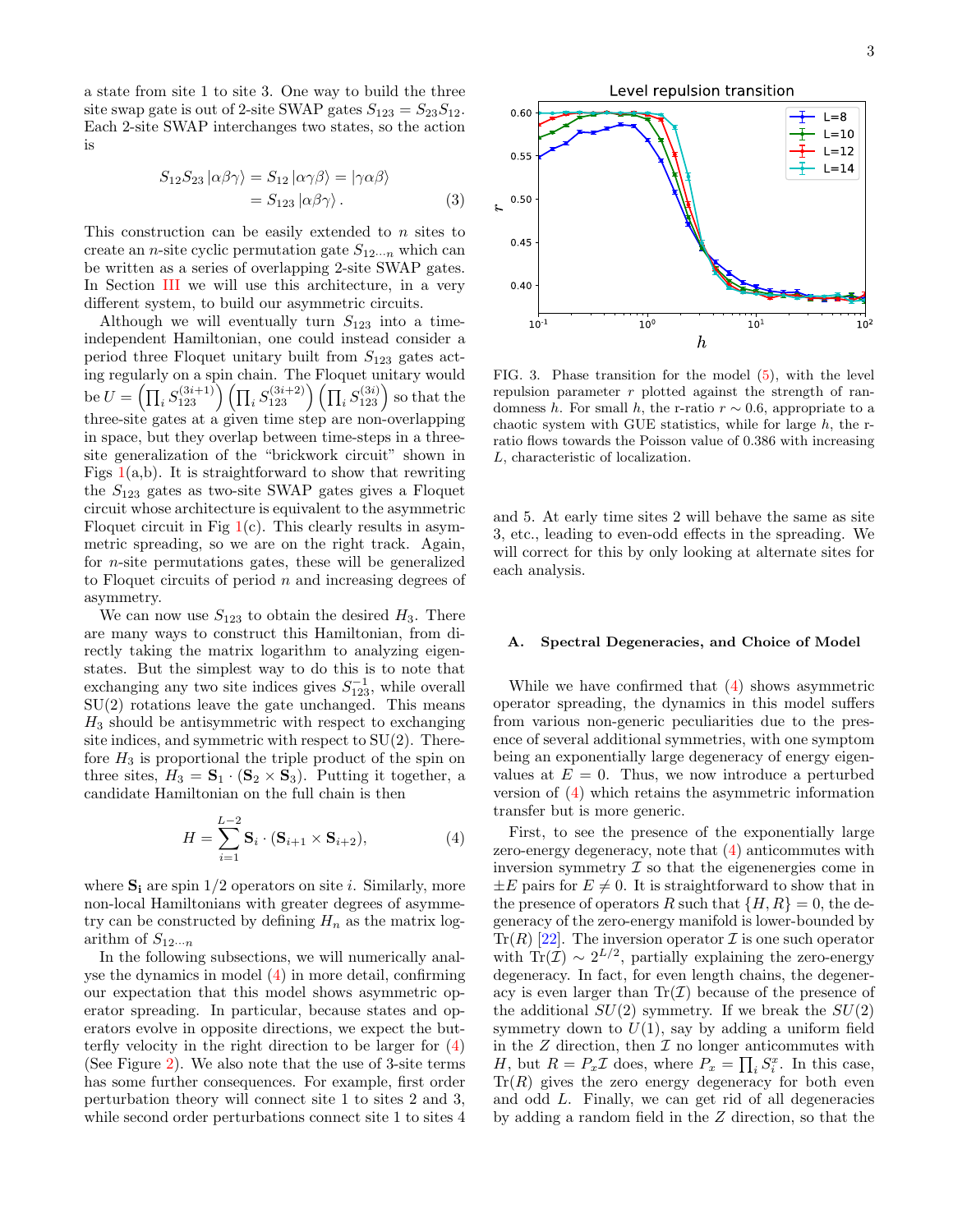a state from site 1 to site 3. One way to build the three site swap gate is out of 2-site SWAP gates  $S_{123} = S_{23}S_{12}$ . Each 2-site SWAP interchanges two states, so the action is

$$
S_{12}S_{23} |\alpha\beta\gamma\rangle = S_{12} |\alpha\gamma\beta\rangle = |\gamma\alpha\beta\rangle
$$
  
=  $S_{123} |\alpha\beta\gamma\rangle$ . (3)

This construction can be easily extended to n sites to create an *n*-site cyclic permutation gate  $S_{12\cdots n}$  which can be written as a series of overlapping 2-site SWAP gates. In Section [III](#page-5-0) we will use this architecture, in a very different system, to build our asymmetric circuits.

Although we will eventually turn  $S_{123}$  into a timeindependent Hamiltonian, one could instead consider a period three Floquet unitary built from  $S_{123}$  gates acting regularly on a spin chain. The Floquet unitary would be  $U = \left(\prod_i S^{(3i+1)}_{123}\right) \left(\prod_i S^{(3i+2)}_{123}\right) \left(\prod_i S^{(3i)}_{123}\right)$  so that the three-site gates at a given time step are non-overlapping in space, but they overlap between time-steps in a threesite generalization of the "brickwork circuit" shown in Figs  $1(a,b)$  $1(a,b)$ . It is straightforward to show that rewriting the  $S_{123}$  gates as two-site SWAP gates gives a Floquet circuit whose architecture is equivalent to the asymmetric Floquet circuit in Fig  $1(c)$  $1(c)$ . This clearly results in asymmetric spreading, so we are on the right track. Again, for n-site permutations gates, these will be generalized to Floquet circuits of period  $n$  and increasing degrees of asymmetry.

We can now use  $S_{123}$  to obtain the desired  $H_3$ . There are many ways to construct this Hamiltonian, from directly taking the matrix logarithm to analyzing eigenstates. But the simplest way to do this is to note that exchanging any two site indices gives  $S_{123}^{-1}$ , while overall  $SU(2)$  rotations leave the gate unchanged. This means  $H_3$  should be antisymmetric with respect to exchanging site indices, and symmetric with respect to  $SU(2)$ . Therefore  $H_3$  is proportional the triple product of the spin on three sites,  $H_3 = \mathbf{S}_1 \cdot (\mathbf{S}_2 \times \mathbf{S}_3)$ . Putting it together, a candidate Hamiltonian on the full chain is then

$$
H = \sum_{i=1}^{L-2} \mathbf{S}_i \cdot (\mathbf{S}_{i+1} \times \mathbf{S}_{i+2}),
$$
 (4)

where  $S_i$  are spin  $1/2$  operators on site *i*. Similarly, more non-local Hamiltonians with greater degrees of asymmetry can be constructed by defining  $H_n$  as the matrix logarithm of  $S_{12\cdots n}$ 

L

In the following subsections, we will numerically analyse the dynamics in model [\(4\)](#page-2-0) in more detail, confirming our expectation that this model shows asymmetric operator spreading. In particular, because states and operators evolve in opposite directions, we expect the butterfly velocity in the right direction to be larger for [\(4\)](#page-2-0) (See Figure [2\)](#page-1-1). We also note that the use of 3-site terms has some further consequences. For example, first order perturbation theory will connect site 1 to sites 2 and 3, while second order perturbations connect site 1 to sites 4



<span id="page-2-1"></span>FIG. 3. Phase transition for the model [\(5\)](#page-3-0), with the level repulsion parameter  $r$  plotted against the strength of randomness h. For small h, the r-ratio  $r \sim 0.6$ , appropriate to a chaotic system with GUE statistics, while for large  $h$ , the rratio flows towards the Poisson value of 0.386 with increasing L, characteristic of localization.

and 5. At early time sites 2 will behave the same as site 3, etc., leading to even-odd effects in the spreading. We will correct for this by only looking at alternate sites for each analysis.

#### A. Spectral Degeneracies, and Choice of Model

While we have confirmed that [\(4\)](#page-2-0) shows asymmetric operator spreading, the dynamics in this model suffers from various non-generic peculiarities due to the presence of several additional symmetries, with one symptom being an exponentially large degeneracy of energy eigenvalues at  $E = 0$ . Thus, we now introduce a perturbed version of [\(4\)](#page-2-0) which retains the asymmetric information transfer but is more generic.

<span id="page-2-0"></span>First, to see the presence of the exponentially large zero-energy degeneracy, note that [\(4\)](#page-2-0) anticommutes with inversion symmetry  $\mathcal I$  so that the eigenenergies come in  $\pm E$  pairs for  $E \neq 0$ . It is straightforward to show that in the presence of operators R such that  $\{H, R\} = 0$ , the degeneracy of the zero-energy manifold is lower-bounded by  $\text{Tr}(R)$  [\[22\]](#page-9-16). The inversion operator  $\mathcal I$  is one such operator with Tr( $\overline{I}$ ) ~ 2<sup>L/2</sup>, partially explaining the zero-energy degeneracy. In fact, for even length chains, the degeneracy is even larger than  $\text{Tr}(\mathcal{I})$  because of the presence of the additional  $SU(2)$  symmetry. If we break the  $SU(2)$ symmetry down to  $U(1)$ , say by adding a uniform field in the  $Z$  direction, then  $\mathcal I$  no longer anticommutes with H, but  $R = P_x \mathcal{I}$  does, where  $P_x = \prod_i S_i^x$ . In this case,  $Tr(R)$  gives the zero energy degeneracy for both even and odd L. Finally, we can get rid of all degeneracies by adding a random field in the Z direction, so that the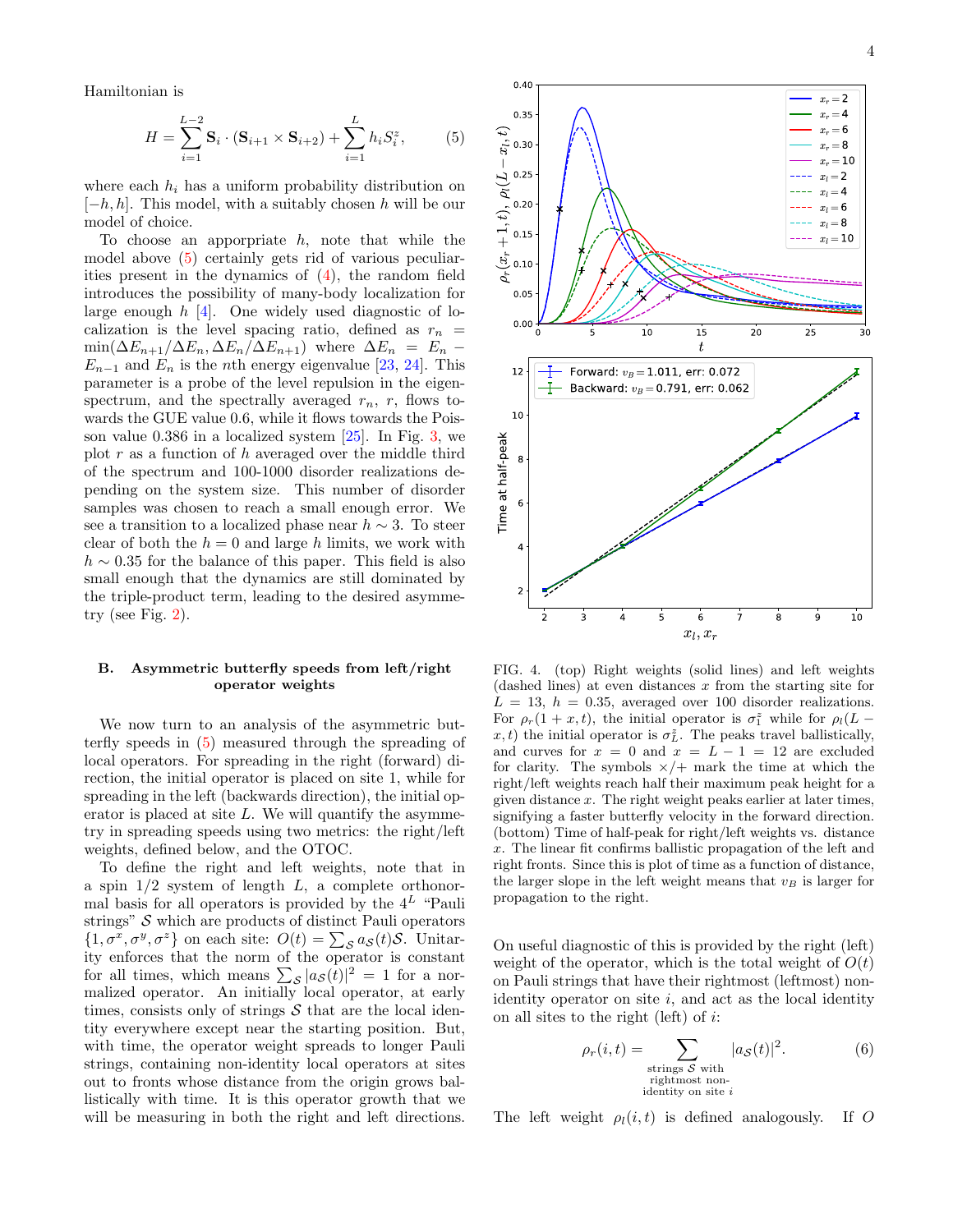Hamiltonian is

$$
H = \sum_{i=1}^{L-2} \mathbf{S}_i \cdot (\mathbf{S}_{i+1} \times \mathbf{S}_{i+2}) + \sum_{i=1}^{L} h_i S_i^z, \tag{5}
$$

where each  $h_i$  has a uniform probability distribution on  $[-h, h]$ . This model, with a suitably chosen h will be our model of choice.

To choose an apporpriate  $h$ , note that while the model above [\(5\)](#page-3-0) certainly gets rid of various peculiarities present in the dynamics of [\(4\)](#page-2-0), the random field introduces the possibility of many-body localization for large enough  $h$  [\[4\]](#page-9-2). One widely used diagnostic of localization is the level spacing ratio, defined as  $r_n$  =  $\min(\Delta E_{n+1}/\Delta E_n, \Delta E_n/\Delta E_{n+1})$  where  $\Delta E_n = E_n$  –  $E_{n-1}$  and  $E_n$  is the *n*th energy eigenvalue [\[23,](#page-9-17) [24\]](#page-9-18). This parameter is a probe of the level repulsion in the eigenspectrum, and the spectrally averaged  $r_n$ , r, flows towards the GUE value 0.6, while it flows towards the Poisson value 0.386 in a localized system [\[25\]](#page-9-19). In Fig. [3,](#page-2-1) we plot  $r$  as a function of  $h$  averaged over the middle third of the spectrum and 100-1000 disorder realizations depending on the system size. This number of disorder samples was chosen to reach a small enough error. We see a transition to a localized phase near  $h \sim 3$ . To steer clear of both the  $h = 0$  and large h limits, we work with  $h \sim 0.35$  for the balance of this paper. This field is also small enough that the dynamics are still dominated by the triple-product term, leading to the desired asymmetry (see Fig.  $2$ ).

## B. Asymmetric butterfly speeds from left/right operator weights

We now turn to an analysis of the asymmetric butterfly speeds in [\(5\)](#page-3-0) measured through the spreading of local operators. For spreading in the right (forward) direction, the initial operator is placed on site 1, while for spreading in the left (backwards direction), the initial operator is placed at site  $L$ . We will quantify the asymmetry in spreading speeds using two metrics: the right/left weights, defined below, and the OTOC.

To define the right and left weights, note that in a spin  $1/2$  system of length  $L$ , a complete orthonormal basis for all operators is provided by the  $4^L$  "Pauli strings"  $S$  which are products of distinct Pauli operators  $\{1, \sigma^x, \sigma^y, \sigma^z\}$  on each site:  $O(t) = \sum_{\mathcal{S}} a_{\mathcal{S}}(t) \mathcal{S}$ . Unitarity enforces that the norm of the operator is constant for all times, which means  $\sum_{s} |a_{\mathcal{S}}(t)|^2 = 1$  for a normalized operator. An initially local operator, at early times, consists only of strings  $S$  that are the local identity everywhere except near the starting position. But, with time, the operator weight spreads to longer Pauli strings, containing non-identity local operators at sites out to fronts whose distance from the origin grows ballistically with time. It is this operator growth that we will be measuring in both the right and left directions.

<span id="page-3-0"></span>

<span id="page-3-1"></span>FIG. 4. (top) Right weights (solid lines) and left weights  $(dashed lines)$  at even distances x from the starting site for  $L = 13$ ,  $h = 0.35$ , averaged over 100 disorder realizations. For  $\rho_r(1+x,t)$ , the initial operator is  $\sigma_1^z$  while for  $\rho_l(L$  $x, t$ ) the initial operator is  $\sigma_L^z$ . The peaks travel ballistically, and curves for  $x = 0$  and  $x = L - 1 = 12$  are excluded for clarity. The symbols  $\times/$  mark the time at which the right/left weights reach half their maximum peak height for a given distance x. The right weight peaks earlier at later times, signifying a faster butterfly velocity in the forward direction. (bottom) Time of half-peak for right/left weights vs. distance x. The linear fit confirms ballistic propagation of the left and right fronts. Since this is plot of time as a function of distance, the larger slope in the left weight means that  $v_B$  is larger for propagation to the right.

On useful diagnostic of this is provided by the right (left) weight of the operator, which is the total weight of  $O(t)$ on Pauli strings that have their rightmost (leftmost) nonidentity operator on site  $i$ , and act as the local identity on all sites to the right (left) of  $i$ :

$$
\rho_r(i,t) = \sum_{\substack{\text{strings } S \text{ with} \\ \text{rightmost non-}} \\ \text{identity on site } i} |a_S(t)|^2.
$$
 (6)

The left weight  $\rho_l(i, t)$  is defined analogously. If O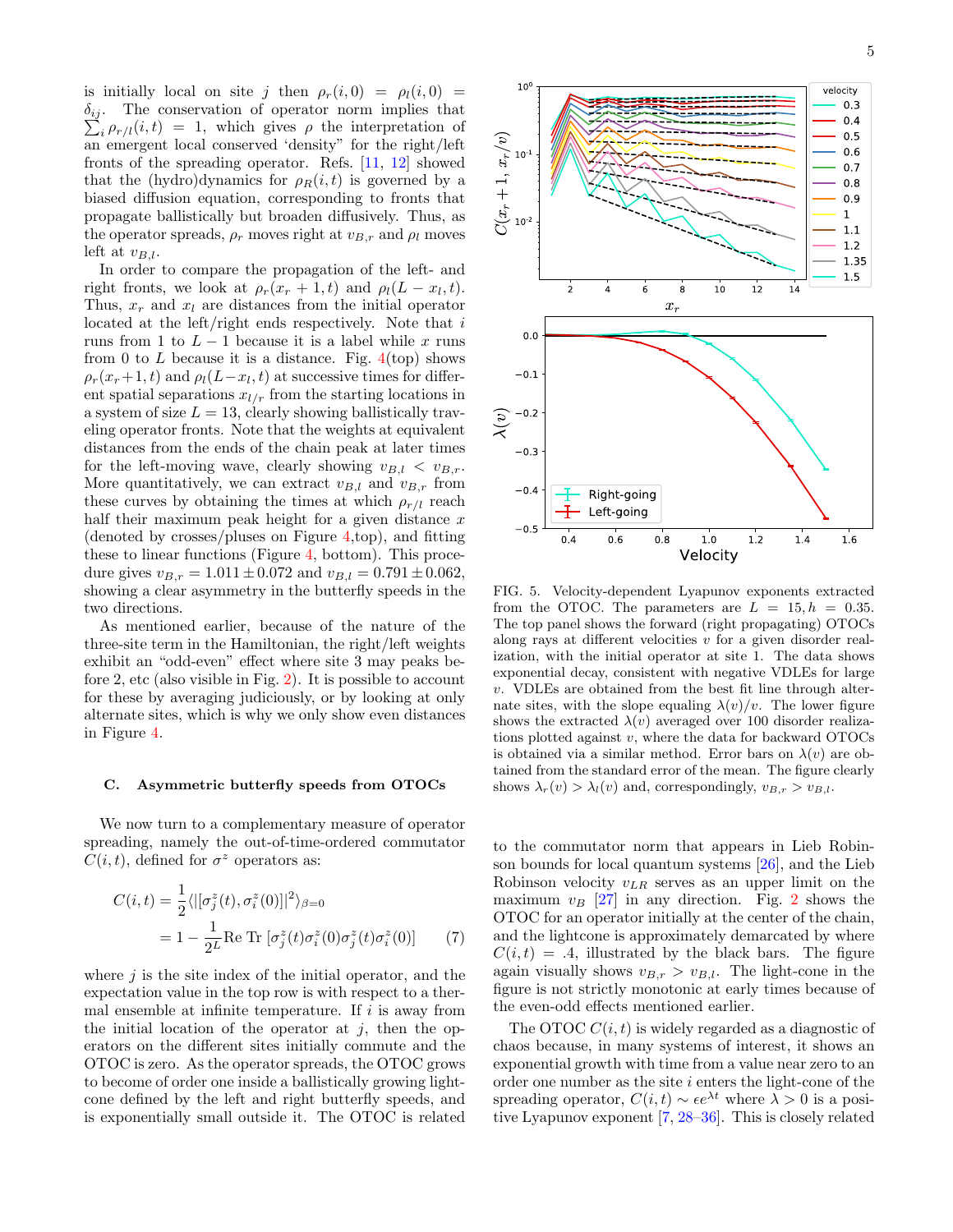is initially local on site j then  $\rho_r(i, 0) = \rho_l(i, 0)$  $\delta_{ij}$ .  $\sum_i \rho_{r/l}(i,t) = 1$ , which gives  $\rho$  the interpretation of The conservation of operator norm implies that an emergent local conserved 'density" for the right/left fronts of the spreading operator. Refs. [\[11,](#page-9-20) [12\]](#page-9-21) showed that the (hydro)dynamics for  $\rho_R(i, t)$  is governed by a biased diffusion equation, corresponding to fronts that propagate ballistically but broaden diffusively. Thus, as the operator spreads,  $\rho_r$  moves right at  $v_{B,r}$  and  $\rho_l$  moves left at  $v_{B,l}$ .

In order to compare the propagation of the left- and right fronts, we look at  $\rho_r(x_r+1,t)$  and  $\rho_l(L-x_l,t)$ . Thus,  $x_r$  and  $x_l$  are distances from the initial operator located at the left/right ends respectively. Note that i runs from 1 to  $L-1$  because it is a label while x runs from 0 to L because it is a distance. Fig.  $4 (top)$  shows  $\rho_r(x_r+1,t)$  and  $\rho_l(L-x_l,t)$  at successive times for different spatial separations  $x_{l/r}$  from the starting locations in a system of size  $L = 13$ , clearly showing ballistically traveling operator fronts. Note that the weights at equivalent distances from the ends of the chain peak at later times for the left-moving wave, clearly showing  $v_{B,l} < v_{B,r}$ . More quantitatively, we can extract  $v_{B,l}$  and  $v_{B,r}$  from these curves by obtaining the times at which  $\rho_{r/l}$  reach half their maximum peak height for a given distance  $x$ (denoted by crosses/pluses on Figure [4,](#page-3-1)top), and fitting these to linear functions (Figure [4,](#page-3-1) bottom). This procedure gives  $v_{B,r} = 1.011 \pm 0.072$  and  $v_{B,l} = 0.791 \pm 0.062$ , showing a clear asymmetry in the butterfly speeds in the two directions.

As mentioned earlier, because of the nature of the three-site term in the Hamiltonian, the right/left weights exhibit an "odd-even" effect where site 3 may peaks before 2, etc (also visible in Fig. [2\)](#page-1-1). It is possible to account for these by averaging judiciously, or by looking at only alternate sites, which is why we only show even distances in Figure [4.](#page-3-1)

## <span id="page-4-0"></span>C. Asymmetric butterfly speeds from OTOCs

We now turn to a complementary measure of operator spreading, namely the out-of-time-ordered commutator  $C(i, t)$ , defined for  $\sigma^z$  operators as:

$$
C(i,t) = \frac{1}{2} \langle |[\sigma_j^z(t), \sigma_i^z(0)]|^2 \rangle_{\beta=0}
$$
  
=  $1 - \frac{1}{2L} \text{Re Tr} [\sigma_j^z(t) \sigma_i^z(0) \sigma_j^z(t) \sigma_i^z(0)]$  (7)

where  $j$  is the site index of the initial operator, and the expectation value in the top row is with respect to a thermal ensemble at infinite temperature. If  $i$  is away from the initial location of the operator at  $j$ , then the operators on the different sites initially commute and the OTOC is zero. As the operator spreads, the OTOC grows to become of order one inside a ballistically growing lightcone defined by the left and right butterfly speeds, and is exponentially small outside it. The OTOC is related



<span id="page-4-1"></span>FIG. 5. Velocity-dependent Lyapunov exponents extracted from the OTOC. The parameters are  $L = 15, h = 0.35$ . The top panel shows the forward (right propagating) OTOCs along rays at different velocities  $v$  for a given disorder realization, with the initial operator at site 1. The data shows exponential decay, consistent with negative VDLEs for large v. VDLEs are obtained from the best fit line through alternate sites, with the slope equaling  $\lambda(v)/v$ . The lower figure shows the extracted  $\lambda(v)$  averaged over 100 disorder realizations plotted against  $v$ , where the data for backward OTOCs is obtained via a similar method. Error bars on  $\lambda(v)$  are obtained from the standard error of the mean. The figure clearly shows  $\lambda_r(v) > \lambda_l(v)$  and, correspondingly,  $v_{B,r} > v_{B,l}$ .

<span id="page-4-2"></span>to the commutator norm that appears in Lieb Robinson bounds for local quantum systems [\[26\]](#page-10-0), and the Lieb Robinson velocity  $v_{LR}$  serves as an upper limit on the maximum  $v_B$  [\[27\]](#page-10-1) in any direction. Fig. [2](#page-1-1) shows the OTOC for an operator initially at the center of the chain, and the lightcone is approximately demarcated by where  $C(i, t) = .4$ , illustrated by the black bars. The figure again visually shows  $v_{B,r} > v_{B,l}$ . The light-cone in the figure is not strictly monotonic at early times because of the even-odd effects mentioned earlier.

The OTOC  $C(i, t)$  is widely regarded as a diagnostic of chaos because, in many systems of interest, it shows an exponential growth with time from a value near zero to an order one number as the site  $i$  enters the light-cone of the spreading operator,  $C(i, t) \sim \epsilon e^{\lambda t}$  where  $\lambda > 0$  is a positive Lyapunov exponent [\[7,](#page-9-4) [28–](#page-10-2)[36\]](#page-10-3). This is closely related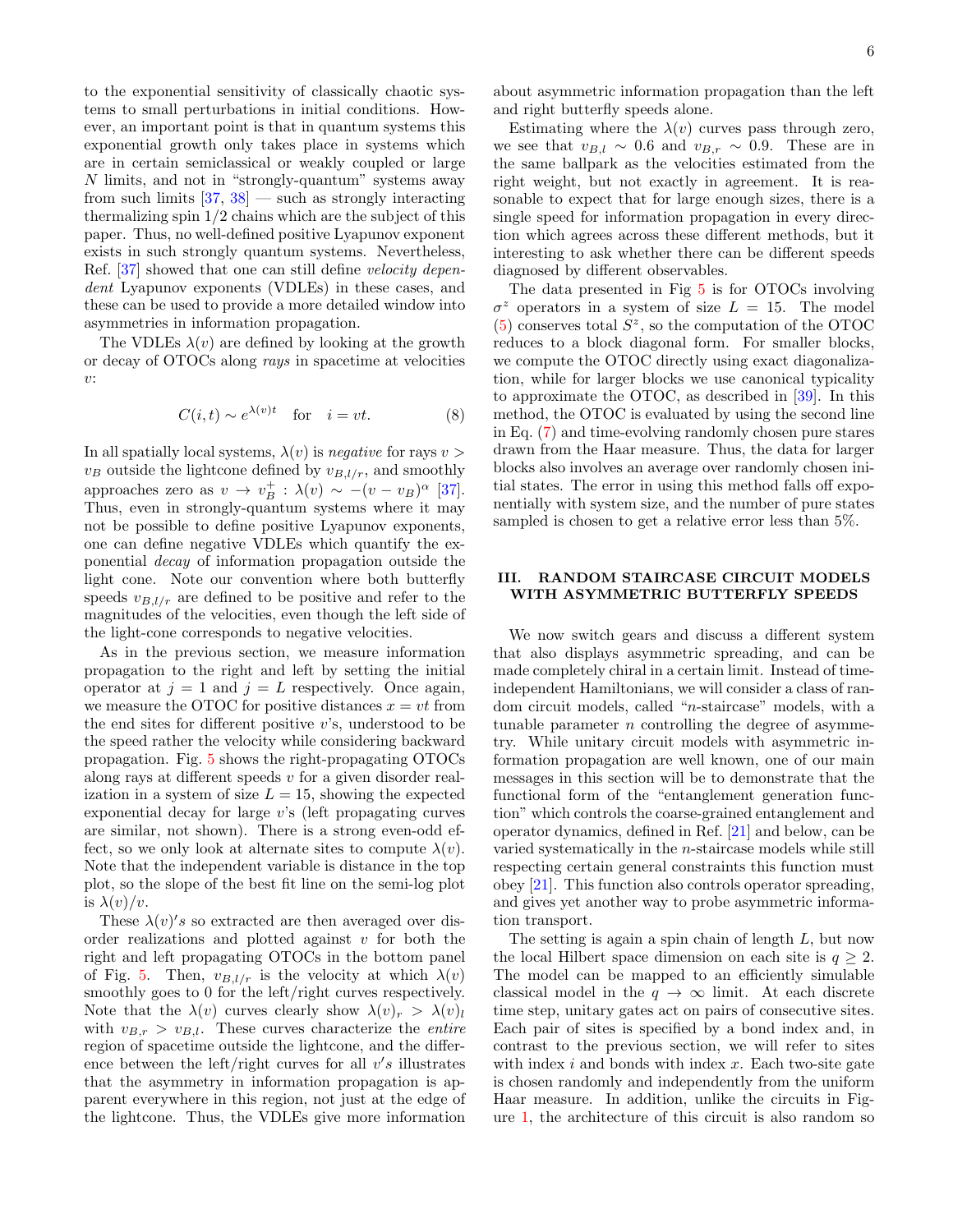to the exponential sensitivity of classically chaotic systems to small perturbations in initial conditions. However, an important point is that in quantum systems this exponential growth only takes place in systems which are in certain semiclassical or weakly coupled or large N limits, and not in "strongly-quantum" systems away from such limits  $[37, 38]$  $[37, 38]$  — such as strongly interacting thermalizing spin 1/2 chains which are the subject of this paper. Thus, no well-defined positive Lyapunov exponent exists in such strongly quantum systems. Nevertheless, Ref. [\[37\]](#page-10-4) showed that one can still define velocity dependent Lyapunov exponents (VDLEs) in these cases, and these can be used to provide a more detailed window into asymmetries in information propagation.

The VDLEs  $\lambda(v)$  are defined by looking at the growth or decay of OTOCs along rays in spacetime at velocities v:

$$
C(i,t) \sim e^{\lambda(v)t} \quad \text{for} \quad i = vt. \tag{8}
$$

In all spatially local systems,  $\lambda(v)$  is negative for rays  $v >$  $v_B$  outside the lightcone defined by  $v_{B,l/r}$ , and smoothly approaches zero as  $v \to v_B^+ : \lambda(v) \sim -(v - v_B)^{\alpha}$  [\[37\]](#page-10-4). Thus, even in strongly-quantum systems where it may not be possible to define positive Lyapunov exponents, one can define negative VDLEs which quantify the exponential decay of information propagation outside the light cone. Note our convention where both butterfly speeds  $v_{B,l/r}$  are defined to be positive and refer to the magnitudes of the velocities, even though the left side of the light-cone corresponds to negative velocities.

As in the previous section, we measure information propagation to the right and left by setting the initial operator at  $j = 1$  and  $j = L$  respectively. Once again, we measure the OTOC for positive distances  $x = vt$  from the end sites for different positive  $v$ 's, understood to be the speed rather the velocity while considering backward propagation. Fig. [5](#page-4-1) shows the right-propagating OTOCs along rays at different speeds  $v$  for a given disorder realization in a system of size  $L = 15$ , showing the expected exponential decay for large v's (left propagating curves are similar, not shown). There is a strong even-odd effect, so we only look at alternate sites to compute  $\lambda(v)$ . Note that the independent variable is distance in the top plot, so the slope of the best fit line on the semi-log plot is  $\lambda(v)/v$ .

These  $\lambda(v)'s$  so extracted are then averaged over disorder realizations and plotted against  $v$  for both the right and left propagating OTOCs in the bottom panel of Fig. [5.](#page-4-1) Then,  $v_{B,l/r}$  is the velocity at which  $\lambda(v)$ smoothly goes to 0 for the left/right curves respectively. Note that the  $\lambda(v)$  curves clearly show  $\lambda(v)_r > \lambda(v)_l$ with  $v_{B,r} > v_{B,l}$ . These curves characterize the *entire* region of spacetime outside the lightcone, and the difference between the left/right curves for all  $v's$  illustrates that the asymmetry in information propagation is apparent everywhere in this region, not just at the edge of the lightcone. Thus, the VDLEs give more information

about asymmetric information propagation than the left and right butterfly speeds alone.

Estimating where the  $\lambda(v)$  curves pass through zero, we see that  $v_{B,l} \sim 0.6$  and  $v_{B,r} \sim 0.9$ . These are in the same ballpark as the velocities estimated from the right weight, but not exactly in agreement. It is reasonable to expect that for large enough sizes, there is a single speed for information propagation in every direction which agrees across these different methods, but it interesting to ask whether there can be different speeds diagnosed by different observables.

The data presented in Fig [5](#page-4-1) is for OTOCs involving  $\sigma^z$  operators in a system of size  $L = 15$ . The model  $(5)$  conserves total  $S^z$ , so the computation of the OTOC reduces to a block diagonal form. For smaller blocks, we compute the OTOC directly using exact diagonalization, while for larger blocks we use canonical typicality to approximate the OTOC, as described in [\[39\]](#page-10-6). In this method, the OTOC is evaluated by using the second line in Eq. [\(7\)](#page-4-2) and time-evolving randomly chosen pure stares drawn from the Haar measure. Thus, the data for larger blocks also involves an average over randomly chosen initial states. The error in using this method falls off exponentially with system size, and the number of pure states sampled is chosen to get a relative error less than 5%.

### <span id="page-5-0"></span>III. RANDOM STAIRCASE CIRCUIT MODELS WITH ASYMMETRIC BUTTERFLY SPEEDS

We now switch gears and discuss a different system that also displays asymmetric spreading, and can be made completely chiral in a certain limit. Instead of timeindependent Hamiltonians, we will consider a class of random circuit models, called "n-staircase" models, with a tunable parameter  $n$  controlling the degree of asymmetry. While unitary circuit models with asymmetric information propagation are well known, one of our main messages in this section will be to demonstrate that the functional form of the "entanglement generation function" which controls the coarse-grained entanglement and operator dynamics, defined in Ref. [\[21\]](#page-9-15) and below, can be varied systematically in the n-staircase models while still respecting certain general constraints this function must obey [\[21\]](#page-9-15). This function also controls operator spreading, and gives yet another way to probe asymmetric information transport.

The setting is again a spin chain of length  $L$ , but now the local Hilbert space dimension on each site is  $q \geq 2$ . The model can be mapped to an efficiently simulable classical model in the  $q \to \infty$  limit. At each discrete time step, unitary gates act on pairs of consecutive sites. Each pair of sites is specified by a bond index and, in contrast to the previous section, we will refer to sites with index  $i$  and bonds with index  $x$ . Each two-site gate is chosen randomly and independently from the uniform Haar measure. In addition, unlike the circuits in Figure [1,](#page-0-0) the architecture of this circuit is also random so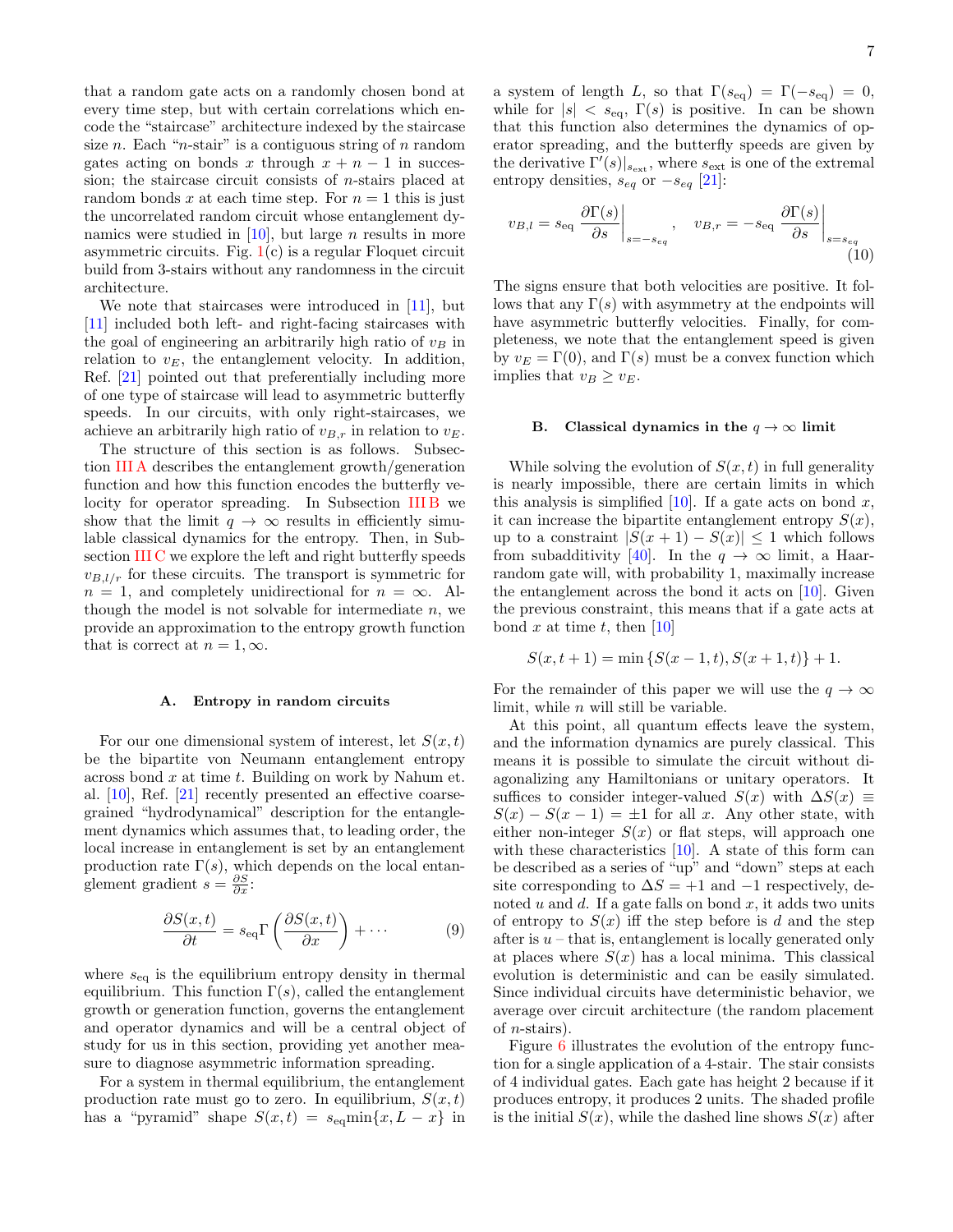that a random gate acts on a randomly chosen bond at every time step, but with certain correlations which encode the "staircase" architecture indexed by the staircase size n. Each "n-stair" is a contiguous string of  $n$  random gates acting on bonds x through  $x + n - 1$  in succession; the staircase circuit consists of n-stairs placed at random bonds x at each time step. For  $n = 1$  this is just the uncorrelated random circuit whose entanglement dynamics were studied in  $[10]$ , but large *n* results in more asymmetric circuits. Fig.  $1(c)$  $1(c)$  is a regular Floquet circuit build from 3-stairs without any randomness in the circuit architecture.

We note that staircases were introduced in [\[11\]](#page-9-20), but [\[11\]](#page-9-20) included both left- and right-facing staircases with the goal of engineering an arbitrarily high ratio of  $v_B$  in relation to  $v<sub>E</sub>$ , the entanglement velocity. In addition, Ref. [\[21\]](#page-9-15) pointed out that preferentially including more of one type of staircase will lead to asymmetric butterfly speeds. In our circuits, with only right-staircases, we achieve an arbitrarily high ratio of  $v_{B,r}$  in relation to  $v_E$ .

The structure of this section is as follows. Subsection [III A](#page-6-0) describes the entanglement growth/generation function and how this function encodes the butterfly ve-locity for operator spreading. In Subsection [III B](#page-6-1) we show that the limit  $q \to \infty$  results in efficiently simulable classical dynamics for the entropy. Then, in Subsection [III C](#page-7-0) we explore the left and right butterfly speeds  $v_{B,l/r}$  for these circuits. The transport is symmetric for  $n = 1$ , and completely unidirectional for  $n = \infty$ . Although the model is not solvable for intermediate  $n$ , we provide an approximation to the entropy growth function that is correct at  $n = 1, \infty$ .

#### <span id="page-6-0"></span>A. Entropy in random circuits

For our one dimensional system of interest, let  $S(x, t)$ be the bipartite von Neumann entanglement entropy across bond  $x$  at time  $t$ . Building on work by Nahum et. al. [\[10\]](#page-9-7), Ref. [\[21\]](#page-9-15) recently presented an effective coarsegrained "hydrodynamical" description for the entanglement dynamics which assumes that, to leading order, the local increase in entanglement is set by an entanglement production rate  $\Gamma(s)$ , which depends on the local entanglement gradient  $s = \frac{\partial S}{\partial x}$ :

$$
\frac{\partial S(x,t)}{\partial t} = s_{\text{eq}} \Gamma \left( \frac{\partial S(x,t)}{\partial x} \right) + \cdots
$$
 (9)

where  $s_{eq}$  is the equilibrium entropy density in thermal equilibrium. This function  $\Gamma(s)$ , called the entanglement growth or generation function, governs the entanglement and operator dynamics and will be a central object of study for us in this section, providing yet another measure to diagnose asymmetric information spreading.

For a system in thermal equilibrium, the entanglement production rate must go to zero. In equilibrium,  $S(x,t)$ has a "pyramid" shape  $S(x,t) = s_{eq} \min\{x, L - x\}$  in a system of length L, so that  $\Gamma(s_{\text{eq}}) = \Gamma(-s_{\text{eq}}) = 0$ , while for  $|s| < s_{\text{eq}}$ ,  $\Gamma(s)$  is positive. In can be shown that this function also determines the dynamics of operator spreading, and the butterfly speeds are given by the derivative  $\Gamma'(s)|_{s_{\text{ext}}}$ , where  $s_{\text{ext}}$  is one of the extremal entropy densities,  $s_{eq}$  or  $-s_{eq}$  [\[21\]](#page-9-15):

<span id="page-6-2"></span>
$$
v_{B,l} = s_{\text{eq}} \left. \frac{\partial \Gamma(s)}{\partial s} \right|_{s = -s_{eq}}, \quad v_{B,r} = -s_{\text{eq}} \left. \frac{\partial \Gamma(s)}{\partial s} \right|_{s = s_{eq}} \tag{10}
$$

The signs ensure that both velocities are positive. It follows that any  $\Gamma(s)$  with asymmetry at the endpoints will have asymmetric butterfly velocities. Finally, for completeness, we note that the entanglement speed is given by  $v_E = \Gamma(0)$ , and  $\Gamma(s)$  must be a convex function which implies that  $v_B \ge v_E$ .

# <span id="page-6-1"></span>B. Classical dynamics in the  $q \to \infty$  limit

While solving the evolution of  $S(x,t)$  in full generality is nearly impossible, there are certain limits in which this analysis is simplified [\[10\]](#page-9-7). If a gate acts on bond  $x$ , it can increase the bipartite entanglement entropy  $S(x)$ , up to a constraint  $|S(x + 1) - S(x)| \leq 1$  which follows from subadditivity [\[40\]](#page-10-7). In the  $q \to \infty$  limit, a Haarrandom gate will, with probability 1, maximally increase the entanglement across the bond it acts on [\[10\]](#page-9-7). Given the previous constraint, this means that if a gate acts at bond x at time t, then  $[10]$ 

$$
S(x, t + 1) = \min \{ S(x - 1, t), S(x + 1, t) \} + 1.
$$

For the remainder of this paper we will use the  $q \to \infty$ limit, while  $n$  will still be variable.

At this point, all quantum effects leave the system, and the information dynamics are purely classical. This means it is possible to simulate the circuit without diagonalizing any Hamiltonians or unitary operators. It suffices to consider integer-valued  $S(x)$  with  $\Delta S(x) \equiv$  $S(x) - S(x - 1) = \pm 1$  for all x. Any other state, with either non-integer  $S(x)$  or flat steps, will approach one with these characteristics  $[10]$ . A state of this form can be described as a series of "up" and "down" steps at each site corresponding to  $\Delta S = +1$  and  $-1$  respectively, denoted u and d. If a gate falls on bond x, it adds two units of entropy to  $S(x)$  iff the step before is d and the step after is  $u$  – that is, entanglement is locally generated only at places where  $S(x)$  has a local minima. This classical evolution is deterministic and can be easily simulated. Since individual circuits have deterministic behavior, we average over circuit architecture (the random placement of  $n$ -stairs).

Figure [6](#page-7-1) illustrates the evolution of the entropy function for a single application of a 4-stair. The stair consists of 4 individual gates. Each gate has height 2 because if it produces entropy, it produces 2 units. The shaded profile is the initial  $S(x)$ , while the dashed line shows  $S(x)$  after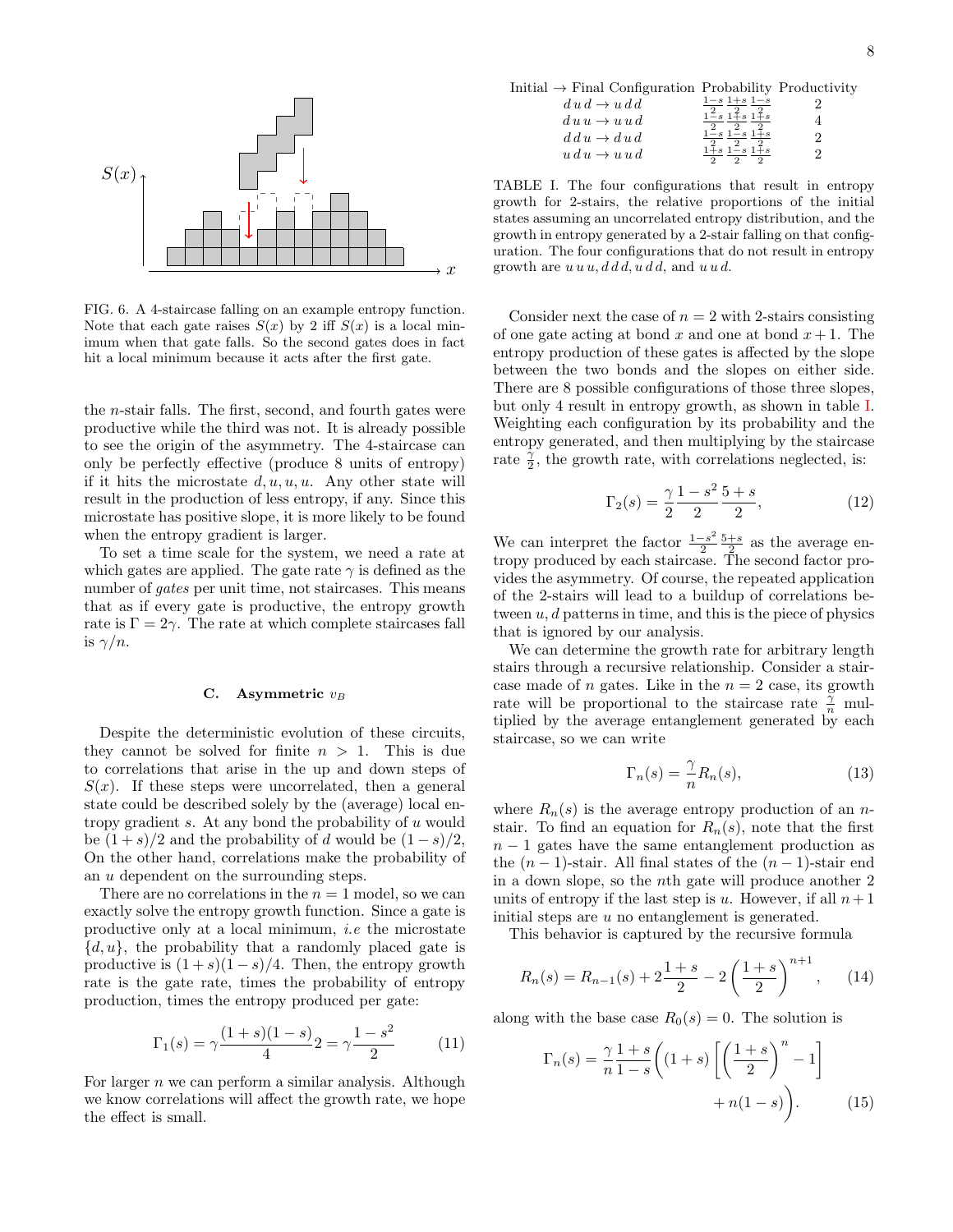

<span id="page-7-1"></span>FIG. 6. A 4-staircase falling on an example entropy function. Consider next the by  $\sum_{i=1}^{\infty}$  is a bear him-<br>imum when that gate falls. So the second gates does in fact of one gate acting at hit a local minimum because it acts after the first gate.  $\qquad \qquad$  entropy J Note that each gate raises  $S(x)$  by 2 iff  $S(x)$  is a local min-

the *n*-stair rails. The first, second, and fourth gates were<br>productive while the third was not. It is already possible only be perfectly effective (produce 8 units of entropy) rate  $\frac{1}{2}$ , the growth is result in the production of less entropy, if any. Since this  $\Gamma_2$  $T_{\text{min}}$  and  $T_{\text{min}}$  are a few possibilities in the entropy gradient is larger. the n-stair falls. The first, second, and fourth gates were to see the origin of the asymmetry. The 4-staircase can if it hits the microstate  $d, u, u, u$ . Any other state will microstate has positive slope, it is more likely to be found

To set a time scale for the system, we need a rate at  $\frac{1}{2}$  tropy produced by e number of gates per unit time, not staircases. This means of the 2-stairs will l rate is  $\Gamma = 2\gamma$ . The rate at which complete staircases fall the is ignored by  $\alpha$  $\frac{13}{76}$  r. which gates are applied. The gate rate  $\gamma$  is defined as the that as if every gate is productive, the entropy growth is  $\gamma/n$ .

#### <span id="page-7-0"></span>C. Asymmetric  $v_B$

Each notice in the solved for finite  $n > 1$ . This is due that is the staircase, so we can to correlations that arise in the up and down steps of  $\tilde{g}(x)$ state could be described solely by the (average) local en-<br>where  $R_n(s)$  is the be  $(1+s)/2$  and the probability of d would be  $(1-s)/2$ ,  $n-1$  gates have the surface growth picture in the probability of d would be  $(1-s)/2$ ,  $n-1$  gates have the On the other hand, correlations make the probability of the  $(n-1)$ -stair. All Despite the deterministic evolution of these circuits,  $S(x)$ . If these steps were uncorrelated, then a general tropy gradient  $s$ . At any bond the probability of  $u$  would an u dependent on the surrounding steps.

There are no correlations in the  $n = 1$  model, so we can units of entropy if the next leads the number of the number of  $\frac{1}{2}$ productive only at a local minimum, *i.e* the microstate This behavior is and productive only at a local minimum, *i.e* the microstate  $\alpha, a_f$ , the probability that a randomly placed gate is<br>productive is  $(1 + s)(1 - s)/4$ . Then, the entropy growth rate is the gate rate, times the probability of entropy  $K_n(s) = K_{n-1}(s)$ exactly solve the entropy growth function. Since a gate is  $\{d, u\}$ , the probability that a randomly placed gate is production, times the entropy produced per gate:

$$
\Gamma_1(s) = \gamma \frac{(1+s)(1-s)}{4} 2 = \gamma \frac{1-s^2}{2} \tag{11}
$$

For larger n we can perform a similar analysis. Although  $\frac{n}{L}$ we know correlations will affect the growth rate, we hope<br>the effect is small the effect is small.

Initial  $\rightarrow$  Final Configuration Probability Productivity

$$
d u d \rightarrow u d d \n\begin{array}{rcl}\n\frac{1-s}{2} & \frac{1+s}{2} & \frac{1-s}{2} \\
du u \rightarrow u u d & \frac{1-s}{2} & \frac{1+s}{2} & \frac{1+s}{2} \\
dd u \rightarrow d u d & \frac{1-s}{2} & \frac{1-s}{2} & \frac{1+s}{2} \\
u d u \rightarrow u u d & \frac{1+s}{2} & \frac{1-s}{2} & \frac{1+s}{2} \\
u d u \rightarrow u u d & \frac{1+s}{2} & \frac{1-s}{2} & \frac{1+s}{2}\n\end{array}
$$

<span id="page-7-2"></span>TABLE I. The four configurations that result in entropy growth for 2-stairs, the relative proportions of the initial states assuming an uncorrelated entropy distribution, and the growth in entropy generated by a 2-stair falling on that configuration. The four configurations that do not result in entropy growth are  $u u u, d d d, u d d$ , and  $u u d$ .

Consider next the case of  $n = 2$  with 2-stairs consisting of one gate acting at bond x and one at bond  $x + 1$ . The entropy production of these gates is affected by the slope between the two bonds and the slopes on either side. There are 8 possible configurations of those three slopes, but only 4 result in entropy growth, as shown in table [I.](#page-7-2) Weighting each configuration by its probability and the entropy generated, and then multiplying by the staircase rate  $\frac{\tilde{\gamma}}{2}$ , the growth rate, with correlations neglected, is:

$$
\Gamma_2(s) = \frac{\gamma}{2} \frac{1 - s^2}{2} \frac{5 + s}{2},\tag{12}
$$

We can interpret the factor  $\frac{1-s^2}{2}$  $\frac{-s^2}{2} \frac{5+s}{2}$  as the average entropy produced by each staircase. The second factor provides the asymmetry. Of course, the repeated application of the 2-stairs will lead to a buildup of correlations between  $u, d$  patterns in time, and this is the piece of physics that is ignored by our analysis.

Considered in the a limiting case made of n gates. Like in the  $n = 2$  case, its growth **E.** Asymmetric  $v_B$  are will be proportional to the staircase rate  $\frac{\tilde{\gamma}}{n}$  multiplied by the average ortangloment generated by each We can determine the growth rate for arbitrary length stairs through a recursive relationship. Consider a stairtiplied by the average entanglement generated by each staircase, so we can write

$$
\Gamma_n(s) = \frac{\gamma}{n} R_n(s),\tag{13}
$$

where  $R_n(s)$  is the average entropy production of an nstair. To find an equation for  $R_n(s)$ , note that the first  $n-1$  gates have the same entanglement production as the  $(n-1)$ -stair. All final states of the  $(n-1)$ -stair end in a down slope, so the nth gate will produce another 2 units of entropy if the last step is u. However, if all  $n+1$ initial steps are u no entanglement is generated.

This behavior is captured by the recursive formula

$$
R_n(s) = R_{n-1}(s) + 2\frac{1+s}{2} - 2\left(\frac{1+s}{2}\right)^{n+1}, \quad (14)
$$

along with the base case  $R_0(s) = 0$ . The solution is

<span id="page-7-3"></span>
$$
\Gamma_n(s) = \frac{\gamma}{n} \frac{1+s}{1-s} \left( (1+s) \left[ \left( \frac{1+s}{2} \right)^n - 1 \right] + n(1-s) \right). \tag{15}
$$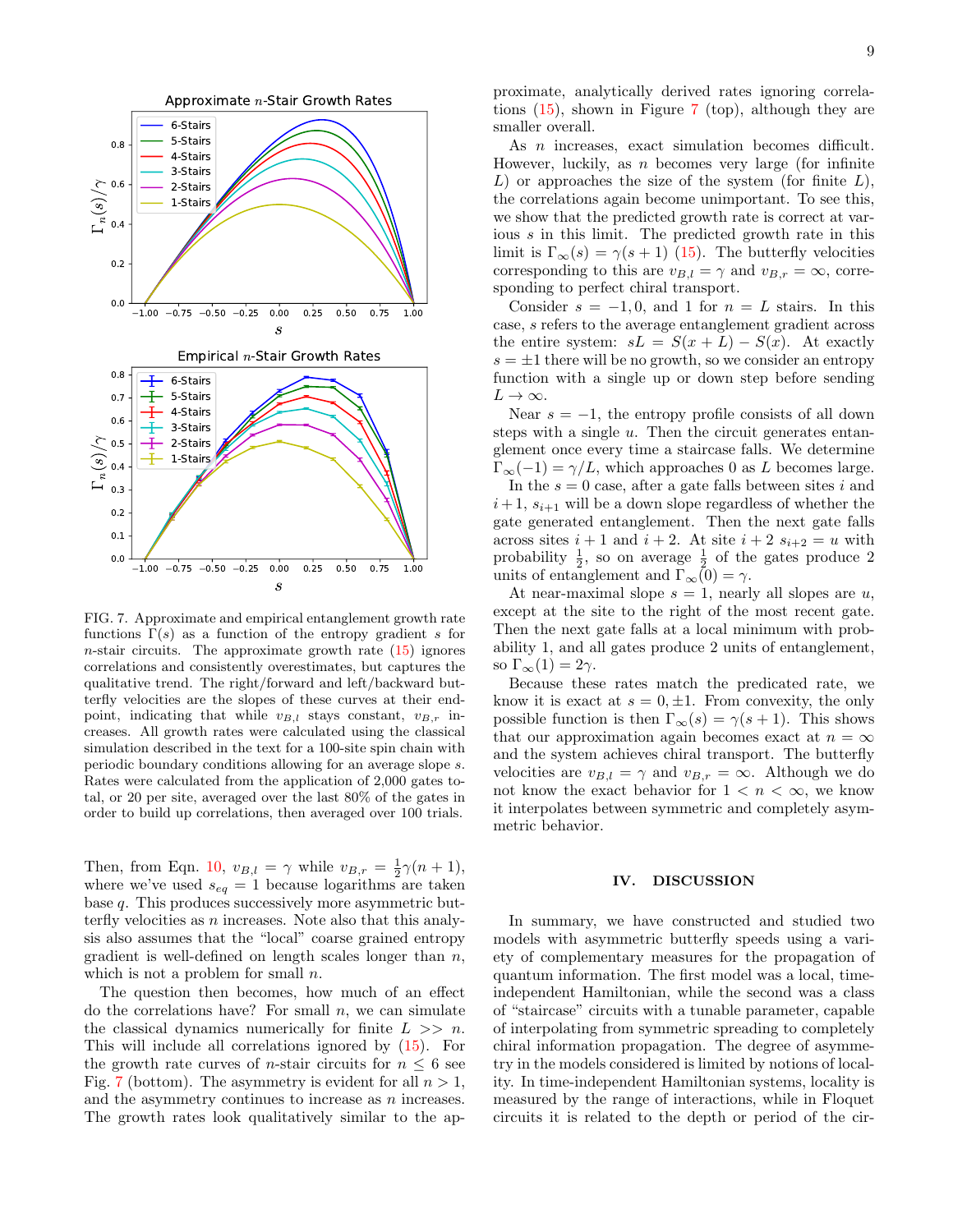

<span id="page-8-0"></span>FIG. 7. Approximate and empirical entanglement growth rate functions  $\Gamma(s)$  as a function of the entropy gradient s for  $n$ -stair circuits. The approximate growth rate  $(15)$  ignores correlations and consistently overestimates, but captures the qualitative trend. The right/forward and left/backward butterfly velocities are the slopes of these curves at their endpoint, indicating that while  $v_{B,l}$  stays constant,  $v_{B,r}$  increases. All growth rates were calculated using the classical simulation described in the text for a 100-site spin chain with periodic boundary conditions allowing for an average slope s. Rates were calculated from the application of 2,000 gates total, or 20 per site, averaged over the last 80% of the gates in order to build up correlations, then averaged over 100 trials.

Then, from Eqn. [10,](#page-6-2)  $v_{B,l} = \gamma$  while  $v_{B,r} = \frac{1}{2}\gamma(n+1)$ , where we've used  $s_{eq} = 1$  because logarithms are taken base q. This produces successively more asymmetric butterfly velocities as  $n$  increases. Note also that this analysis also assumes that the "local" coarse grained entropy gradient is well-defined on length scales longer than  $n$ , which is not a problem for small  $n$ .

The question then becomes, how much of an effect do the correlations have? For small  $n$ , we can simulate the classical dynamics numerically for finite  $L \gg n$ . This will include all correlations ignored by [\(15\)](#page-7-3). For the growth rate curves of *n*-stair circuits for  $n \leq 6$  see Fig. [7](#page-8-0) (bottom). The asymmetry is evident for all  $n > 1$ , and the asymmetry continues to increase as n increases. The growth rates look qualitatively similar to the ap-

proximate, analytically derived rates ignoring correlations [\(15\)](#page-7-3), shown in Figure [7](#page-8-0) (top), although they are smaller overall.

As *n* increases, exact simulation becomes difficult. However, luckily, as  $n$  becomes very large (for infinite  $L$ ) or approaches the size of the system (for finite  $L$ ), the correlations again become unimportant. To see this, we show that the predicted growth rate is correct at various s in this limit. The predicted growth rate in this limit is  $\Gamma_{\infty}(s) = \gamma(s+1)$  [\(15\)](#page-7-3). The butterfly velocities corresponding to this are  $v_{B,l} = \gamma$  and  $v_{B,r} = \infty$ , corresponding to perfect chiral transport.

Consider  $s = -1, 0$ , and 1 for  $n = L$  stairs. In this case, s refers to the average entanglement gradient across the entire system:  $sL = S(x + L) - S(x)$ . At exactly  $s = \pm 1$  there will be no growth, so we consider an entropy function with a single up or down step before sending  $L \to \infty$ .

Near  $s = -1$ , the entropy profile consists of all down steps with a single  $u$ . Then the circuit generates entanglement once every time a staircase falls. We determine  $\Gamma_{\infty}(-1) = \gamma/L$ , which approaches 0 as L becomes large.

In the  $s = 0$  case, after a gate falls between sites i and  $i+1$ ,  $s_{i+1}$  will be a down slope regardless of whether the gate generated entanglement. Then the next gate falls across sites  $i + 1$  and  $i + 2$ . At site  $i + 2$   $s_{i+2} = u$  with probability  $\frac{1}{2}$ , so on average  $\frac{1}{2}$  of the gates produce 2 units of entanglement and  $\Gamma_{\infty}(0) = \gamma$ .

At near-maximal slope  $s = 1$ , nearly all slopes are u, except at the site to the right of the most recent gate. Then the next gate falls at a local minimum with probability 1, and all gates produce 2 units of entanglement, so  $\Gamma_{\infty}(1) = 2\gamma$ .

Because these rates match the predicated rate, we know it is exact at  $s = 0, \pm 1$ . From convexity, the only possible function is then  $\Gamma_{\infty}(s) = \gamma(s+1)$ . This shows that our approximation again becomes exact at  $n = \infty$ and the system achieves chiral transport. The butterfly velocities are  $v_{B,l} = \gamma$  and  $v_{B,r} = \infty$ . Although we do not know the exact behavior for  $1 < n < \infty$ , we know it interpolates between symmetric and completely asymmetric behavior.

#### IV. DISCUSSION

In summary, we have constructed and studied two models with asymmetric butterfly speeds using a variety of complementary measures for the propagation of quantum information. The first model was a local, timeindependent Hamiltonian, while the second was a class of "staircase" circuits with a tunable parameter, capable of interpolating from symmetric spreading to completely chiral information propagation. The degree of asymmetry in the models considered is limited by notions of locality. In time-independent Hamiltonian systems, locality is measured by the range of interactions, while in Floquet circuits it is related to the depth or period of the cir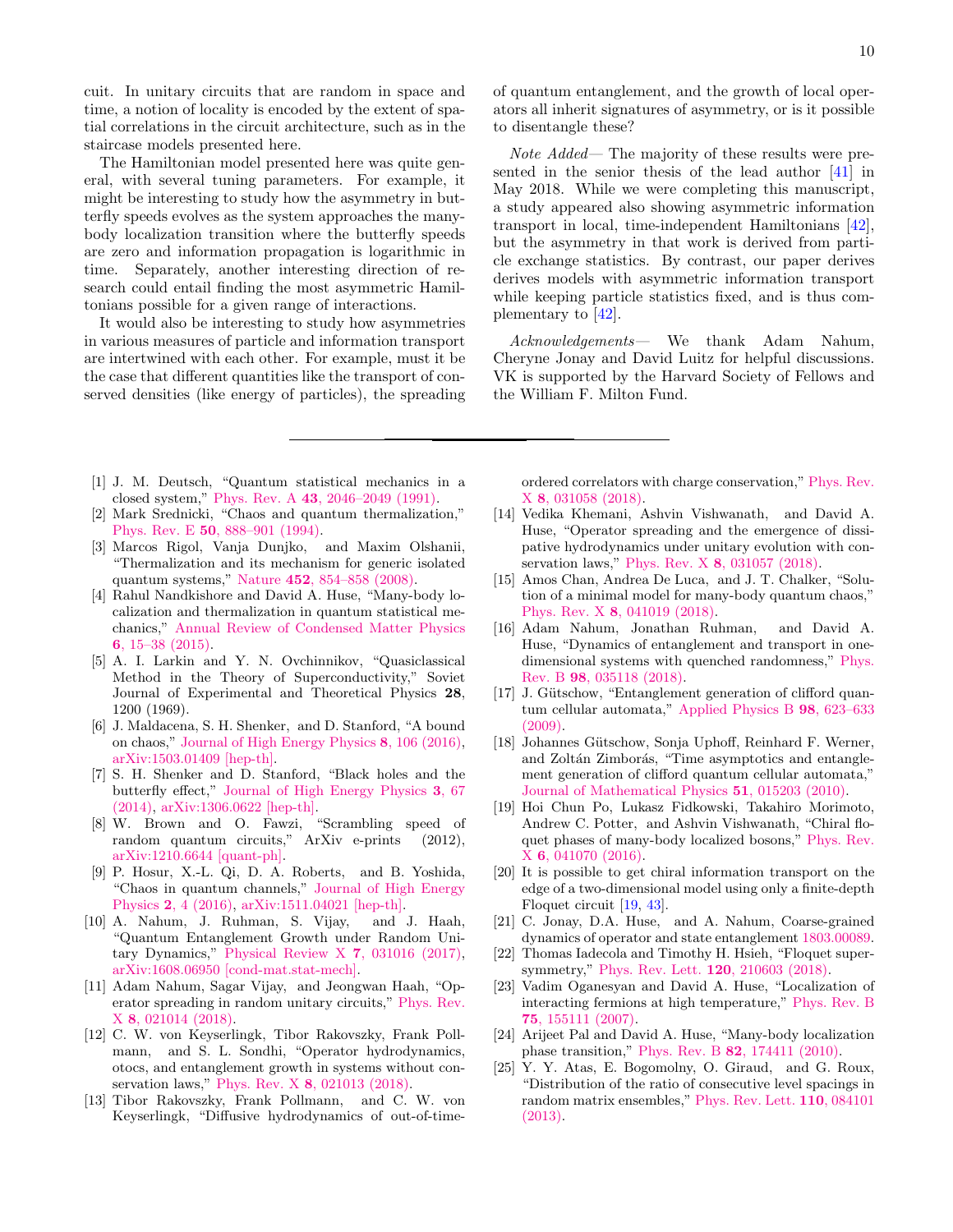cuit. In unitary circuits that are random in space and time, a notion of locality is encoded by the extent of spatial correlations in the circuit architecture, such as in the staircase models presented here.

The Hamiltonian model presented here was quite general, with several tuning parameters. For example, it might be interesting to study how the asymmetry in butterfly speeds evolves as the system approaches the manybody localization transition where the butterfly speeds are zero and information propagation is logarithmic in time. Separately, another interesting direction of research could entail finding the most asymmetric Hamiltonians possible for a given range of interactions.

It would also be interesting to study how asymmetries in various measures of particle and information transport are intertwined with each other. For example, must it be the case that different quantities like the transport of conserved densities (like energy of particles), the spreading

- <span id="page-9-0"></span>[1] J. M. Deutsch, "Quantum statistical mechanics in a closed system," Phys. Rev. A 43[, 2046–2049 \(1991\).](http://dx.doi.org/ 10.1103/PhysRevA.43.2046)
- [2] Mark Srednicki, "Chaos and quantum thermalization," Phys. Rev. E 50[, 888–901 \(1994\).](http://dx.doi.org/10.1103/PhysRevE.50.888)
- <span id="page-9-1"></span>[3] Marcos Rigol, Vanja Dunjko, and Maxim Olshanii, "Thermalization and its mechanism for generic isolated quantum systems," Nature 452[, 854–858 \(2008\).](http://dx.doi.org/ 10.1038/nature06838)
- <span id="page-9-2"></span>[4] Rahul Nandkishore and David A. Huse, "Many-body localization and thermalization in quantum statistical mechanics," [Annual Review of Condensed Matter Physics](http://dx.doi.org/10.1146/annurev-conmatphys-031214-014726) 6[, 15–38 \(2015\).](http://dx.doi.org/10.1146/annurev-conmatphys-031214-014726)
- <span id="page-9-3"></span>[5] A. I. Larkin and Y. N. Ovchinnikov, "Quasiclassical Method in the Theory of Superconductivity," Soviet Journal of Experimental and Theoretical Physics 28, 1200 (1969).
- [6] J. Maldacena, S. H. Shenker, and D. Stanford, "A bound on chaos," [Journal of High Energy Physics](http://dx.doi.org/10.1007/JHEP08(2016)106) 8, 106 (2016), [arXiv:1503.01409 \[hep-th\].](http://arxiv.org/abs/1503.01409)
- <span id="page-9-4"></span>[7] S. H. Shenker and D. Stanford, "Black holes and the butterfly effect," [Journal of High Energy Physics](http://dx.doi.org/10.1007/JHEP03(2014)067) 3, 67 [\(2014\),](http://dx.doi.org/10.1007/JHEP03(2014)067) [arXiv:1306.0622 \[hep-th\].](http://arxiv.org/abs/1306.0622)
- <span id="page-9-5"></span>[8] W. Brown and O. Fawzi, "Scrambling speed of random quantum circuits," ArXiv e-prints (2012), [arXiv:1210.6644 \[quant-ph\].](http://arxiv.org/abs/1210.6644)
- [9] P. Hosur, X.-L. Qi, D. A. Roberts, and B. Yoshida, "Chaos in quantum channels," [Journal of High Energy](http://dx.doi.org/10.1007/JHEP02(2016)004) Physics 2[, 4 \(2016\),](http://dx.doi.org/10.1007/JHEP02(2016)004) [arXiv:1511.04021 \[hep-th\].](http://arxiv.org/abs/1511.04021)
- <span id="page-9-7"></span>[10] A. Nahum, J. Ruhman, S. Vijay, and J. Haah, "Quantum Entanglement Growth under Random Unitary Dynamics," [Physical Review X](http://dx.doi.org/10.1103/PhysRevX.7.031016) 7, 031016 (2017), [arXiv:1608.06950 \[cond-mat.stat-mech\].](http://arxiv.org/abs/1608.06950)
- <span id="page-9-20"></span>[11] Adam Nahum, Sagar Vijay, and Jeongwan Haah, "Operator spreading in random unitary circuits," [Phys. Rev.](http://dx.doi.org/10.1103/PhysRevX.8.021014) X 8[, 021014 \(2018\).](http://dx.doi.org/10.1103/PhysRevX.8.021014)
- <span id="page-9-21"></span>[12] C. W. von Keyserlingk, Tibor Rakovszky, Frank Pollmann, and S. L. Sondhi, "Operator hydrodynamics, otocs, and entanglement growth in systems without conservation laws," Phys. Rev. X 8[, 021013 \(2018\).](http://dx.doi.org/10.1103/PhysRevX.8.021013)
- <span id="page-9-9"></span>[13] Tibor Rakovszky, Frank Pollmann, and C. W. von Keyserlingk, "Diffusive hydrodynamics of out-of-time-

of quantum entanglement, and the growth of local operators all inherit signatures of asymmetry, or is it possible to disentangle these?

Note Added— The majority of these results were presented in the senior thesis of the lead author [\[41\]](#page-10-8) in May 2018. While we were completing this manuscript, a study appeared also showing asymmetric information transport in local, time-independent Hamiltonians [\[42\]](#page-10-9), but the asymmetry in that work is derived from particle exchange statistics. By contrast, our paper derives derives models with asymmetric information transport while keeping particle statistics fixed, and is thus complementary to [\[42\]](#page-10-9).

Acknowledgements— We thank Adam Nahum, Cheryne Jonay and David Luitz for helpful discussions. VK is supported by the Harvard Society of Fellows and the William F. Milton Fund.

ordered correlators with charge conservation," [Phys. Rev.](http://dx.doi.org/10.1103/PhysRevX.8.031058) X 8[, 031058 \(2018\).](http://dx.doi.org/10.1103/PhysRevX.8.031058)

- <span id="page-9-8"></span>[14] Vedika Khemani, Ashvin Vishwanath, and David A. Huse, "Operator spreading and the emergence of dissipative hydrodynamics under unitary evolution with conservation laws," Phys. Rev. X 8[, 031057 \(2018\).](http://dx.doi.org/ 10.1103/PhysRevX.8.031057)
- <span id="page-9-6"></span>[15] Amos Chan, Andrea De Luca, and J. T. Chalker, "Solution of a minimal model for many-body quantum chaos," Phys. Rev. X 8[, 041019 \(2018\).](http://dx.doi.org/10.1103/PhysRevX.8.041019)
- <span id="page-9-10"></span>[16] Adam Nahum, Jonathan Ruhman, and David A. Huse, "Dynamics of entanglement and transport in onedimensional systems with quenched randomness," [Phys.](http://dx.doi.org/10.1103/PhysRevB.98.035118) Rev. B 98[, 035118 \(2018\).](http://dx.doi.org/10.1103/PhysRevB.98.035118)
- <span id="page-9-11"></span>[17] J. Gütschow, "Entanglement generation of clifford quantum cellular automata," [Applied Physics B](http://dx.doi.org/10.1007/s00340-009-3840-1) 98, 623–633 [\(2009\).](http://dx.doi.org/10.1007/s00340-009-3840-1)
- <span id="page-9-12"></span>[18] Johannes Gütschow, Sonja Uphoff, Reinhard F. Werner, and Zoltán Zimborás, "Time asymptotics and entanglement generation of clifford quantum cellular automata," [Journal of Mathematical Physics](http://dx.doi.org/10.1063/1.3278513) 51, 015203 (2010).
- <span id="page-9-13"></span>[19] Hoi Chun Po, Lukasz Fidkowski, Takahiro Morimoto, Andrew C. Potter, and Ashvin Vishwanath, "Chiral floquet phases of many-body localized bosons," [Phys. Rev.](http://dx.doi.org/ 10.1103/PhysRevX.6.041070) X 6[, 041070 \(2016\).](http://dx.doi.org/ 10.1103/PhysRevX.6.041070)
- <span id="page-9-14"></span>[20] It is possible to get chiral information transport on the edge of a two-dimensional model using only a finite-depth Floquet circuit [\[19,](#page-9-13) [43\]](#page-10-10).
- <span id="page-9-15"></span>[21] C. Jonay, D.A. Huse, and A. Nahum, Coarse-grained dynamics of operator and state entanglement [1803.00089.](http://arxiv.org/abs/1803.00089)
- <span id="page-9-16"></span>[22] Thomas Iadecola and Timothy H. Hsieh, "Floquet supersymmetry," [Phys. Rev. Lett.](http://dx.doi.org/10.1103/PhysRevLett.120.210603) 120, 210603 (2018).
- <span id="page-9-17"></span>[23] Vadim Oganesyan and David A. Huse, "Localization of interacting fermions at high temperature," [Phys. Rev. B](http://dx.doi.org/ 10.1103/PhysRevB.75.155111) 75[, 155111 \(2007\).](http://dx.doi.org/ 10.1103/PhysRevB.75.155111)
- <span id="page-9-18"></span>[24] Arijeet Pal and David A. Huse, "Many-body localization phase transition," Phys. Rev. B 82[, 174411 \(2010\).](http://dx.doi.org/ 10.1103/PhysRevB.82.174411)
- <span id="page-9-19"></span>[25] Y. Y. Atas, E. Bogomolny, O. Giraud, and G. Roux, "Distribution of the ratio of consecutive level spacings in random matrix ensembles," [Phys. Rev. Lett.](http://dx.doi.org/ 10.1103/PhysRevLett.110.084101) 110, 084101 [\(2013\).](http://dx.doi.org/ 10.1103/PhysRevLett.110.084101)